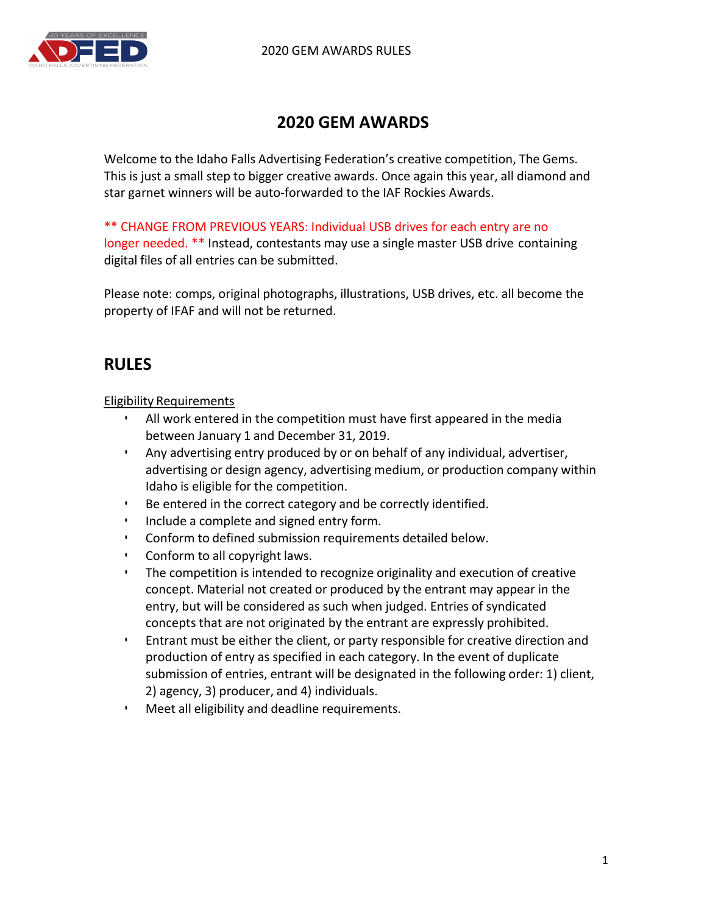

# **2020 GEM AWARDS**

Welcome to the Idaho Falls Advertising Federation's creative competition, The Gems. This is just a small step to bigger creative awards. Once again this year, all diamond and star garnet winners will be auto-forwarded to the IAF Rockies Awards.

\*\* CHANGE FROM PREVIOUS YEARS: Individual USB drives for each entry are no

longer needed. \*\* Instead, contestants may use a single master USB drive containing digital files of all entries can be submitted.

Please note: comps, original photographs, illustrations, USB drives, etc. all become the property of IFAF and will not be returned.

# **RULES**

Eligibility Requirements

- All work entered in the competition must have first appeared in the media between January 1 and December 31, 2019.
- Any advertising entry produced by or on behalf of any individual, advertiser, advertising or design agency, advertising medium, or production company within Idaho is eligible for the competition.
- Be entered in the correct category and be correctly identified.
- Include a complete and signed entry form.
- Conform to defined submission requirements detailed below.
- Conform to all copyright laws.
- The competition is intended to recognize originality and execution of creative concept. Material not created or produced by the entrant may appear in the entry, but will be considered as such when judged. Entries of syndicated concepts that are not originated by the entrant are expressly prohibited.
- Entrant must be either the client, or party responsible for creative direction and production of entry as specified in each category. In the event of duplicate submission of entries, entrant will be designated in the following order: 1) client, 2) agency, 3) producer, and 4) individuals.
- Meet all eligibility and deadline requirements.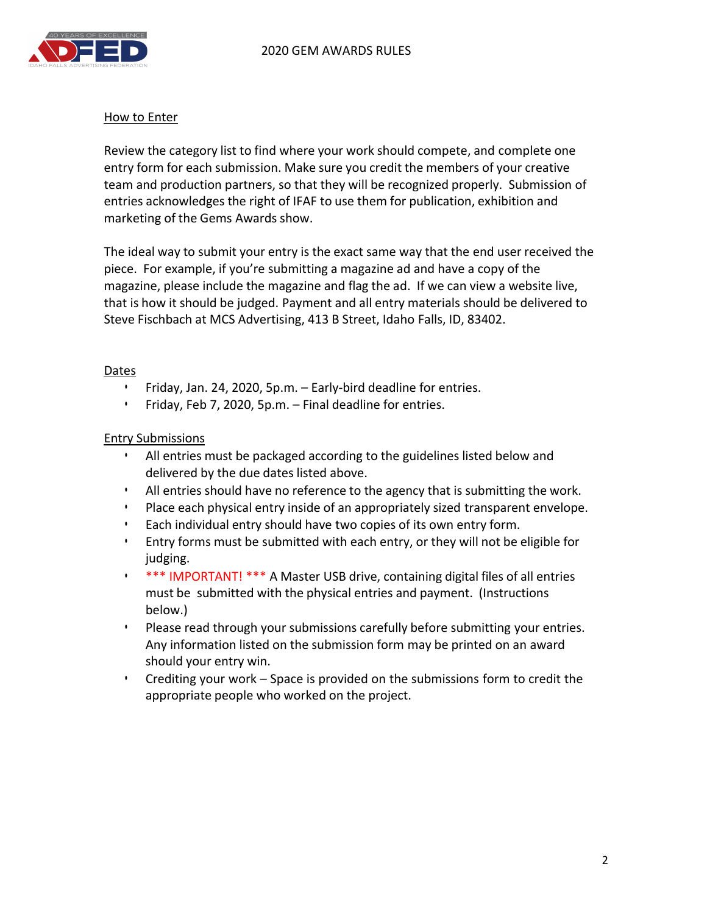

#### **How to Enter**

Review the category list to find where your work should compete, and complete one entry form for each submission. Make sure you credit the members of your creative team and production partners, so that they will be recognized properly. Submission of entries acknowledges the right of IFAF to use them for publication, exhibition and marketing of the Gems Awards show.

The ideal way to submit your entry is the exact same way that the end user received the piece. For example, if you're submitting a magazine ad and have a copy of the magazine, please include the magazine and flag the ad. If we can view a website live, that is how it should be judged. Payment and all entry materials should be delivered to Steve Fischbach at MCS Advertising, 413 B Street, Idaho Falls, ID, 83402.

#### Dates

- Friday, Jan. 24, 2020, 5p.m. Early-bird deadline for entries.
- Friday, Feb 7, 2020, 5p.m. Final deadline for entries.

#### Entry Submissions

- All entries must be packaged according to the guidelines listed below and delivered by the due dates listed above.
- All entries should have no reference to the agency that is submitting the work.
- Place each physical entry inside of an appropriately sized transparent envelope.
- Each individual entry should have two copies of its own entry form.
- Entry forms must be submitted with each entry, or they will not be eligible for judging.
- \*\*\* IMPORTANT! \*\*\* A Master USB drive, containing digital files of all entries must be submitted with the physical entries and payment. (Instructions below.)
- Please read through your submissions carefully before submitting your entries. Any information listed on the submission form may be printed on an award should your entry win.
- Crediting your work Space is provided on the submissions form to credit the appropriate people who worked on the project.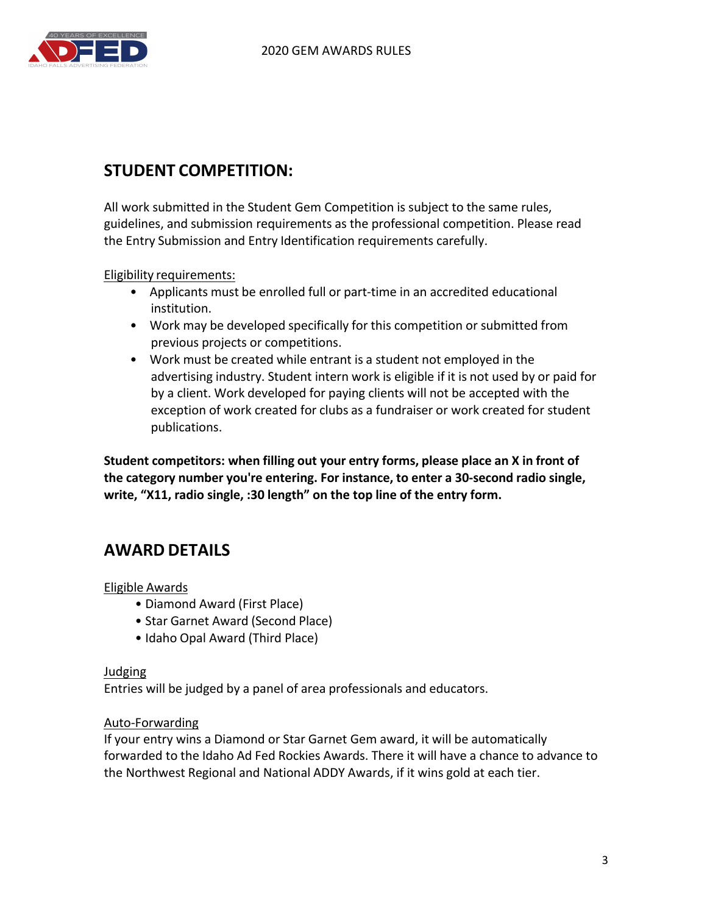

# **STUDENT COMPETITION:**

All work submitted in the Student Gem Competition is subject to the same rules, guidelines, and submission requirements as the professional competition. Please read the Entry Submission and Entry Identification requirements carefully.

Eligibility requirements:

- Applicants must be enrolled full or part-time in an accredited educational institution.
- Work may be developed specifically for this competition or submitted from previous projects or competitions.
- Work must be created while entrant is a student not employed in the advertising industry. Student intern work is eligible if it is not used by or paid for by a client. Work developed for paying clients will not be accepted with the exception of work created for clubs as a fundraiser or work created for student publications.

**Student competitors: when filling out your entry forms, please place an X in front of the category number you're entering. For instance, to enter a 30-second radio single, write, "X11, radio single, :30 length" on the top line of the entry form.**

# **AWARD DETAILS**

Eligible Awards

- Diamond Award (First Place)
- Star Garnet Award (Second Place)
- Idaho Opal Award (Third Place)

#### Judging

Entries will be judged by a panel of area professionals and educators.

#### Auto-Forwarding

If your entry wins a Diamond or Star Garnet Gem award, it will be automatically forwarded to the Idaho Ad Fed Rockies Awards. There it will have a chance to advance to the Northwest Regional and National ADDY Awards, if it wins gold at each tier.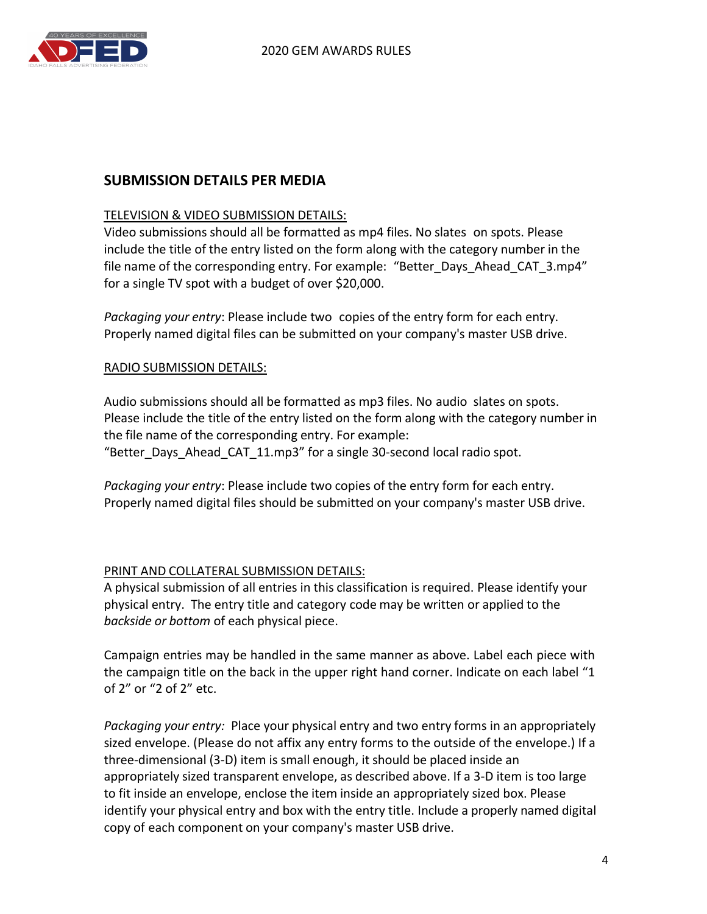

## **SUBMISSION DETAILS PER MEDIA**

#### TELEVISION & VIDEO SUBMISSION DETAILS:

Video submissions should all be formatted as mp4 files. No slates on spots. Please include the title of the entry listed on the form along with the category number in the file name of the corresponding entry. For example: "Better Days Ahead CAT 3.mp4" for a single TV spot with a budget of over \$20,000.

*Packaging your entry*: Please include two copies of the entry form for each entry. Properly named digital files can be submitted on your company's master USB drive.

#### RADIO SUBMISSION DETAILS:

Audio submissions should all be formatted as mp3 files. No audio slates on spots. Please include the title of the entry listed on the form along with the category number in the file name of the corresponding entry. For example: "Better\_Days\_Ahead\_CAT\_11.mp3" for a single 30-second local radio spot.

*Packaging your entry*: Please include two copies of the entry form for each entry. Properly named digital files should be submitted on your company's master USB drive.

#### PRINT AND COLLATERAL SUBMISSION DETAILS:

A physical submission of all entries in this classification is required. Please identify your physical entry. The entry title and category code may be written or applied to the *backside or bottom* of each physical piece.

Campaign entries may be handled in the same manner as above. Label each piece with the campaign title on the back in the upper right hand corner. Indicate on each label "1 of 2" or "2 of 2" etc.

Packaging your entry: Place your physical entry and two entry forms in an appropriately sized envelope. (Please do not affix any entry forms to the outside of the envelope.) If a three-dimensional (3-D) item is small enough, it should be placed inside an appropriately sized transparent envelope, as described above. If a 3-D item is too large to fit inside an envelope, enclose the item inside an appropriately sized box. Please identify your physical entry and box with the entry title. Include a properly named digital copy of each component on your company's master USB drive.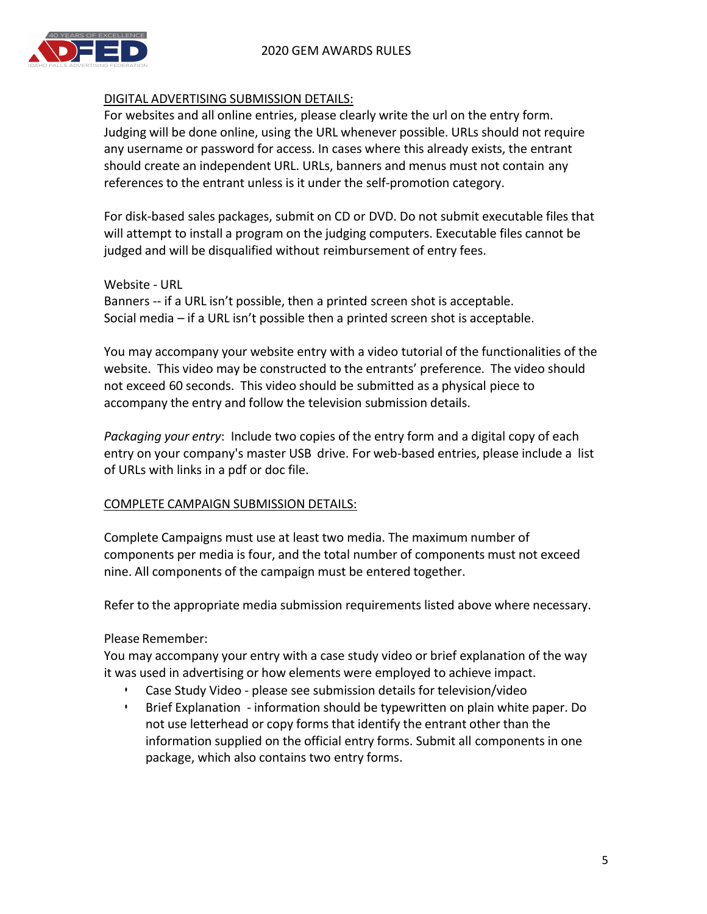

#### DIGITAL ADVERTISING SUBMISSION DETAILS:

For websites and all online entries, please clearly write the url on the entry form. Judging will be done online, using the URL whenever possible. URLs should not require any username or password for access. In cases where this already exists, the entrant should create an independent URL. URLs, banners and menus must not contain any references to the entrant unless is it under the self-promotion category.

For disk-based sales packages, submit on CD or DVD. Do not submit executable files that will attempt to install a program on the judging computers. Executable files cannot be judged and will be disqualified without reimbursement of entry fees.

Website - URL Banners -- if a URL isn't possible, then a printed screen shot is acceptable. Social media  $-$  if a URL isn't possible then a printed screen shot is acceptable.

You may accompany your website entry with a video tutorial of the functionalities of the website. This video may be constructed to the entrants' preference. The video should not exceed 60 seconds. This video should be submitted as a physical piece to accompany the entry and follow the television submission details.

*Packaging your entry*: Include two copies of the entry form and a digital copy of each entry on your company's master USB drive. For web-based entries, please include a list of URLs with links in a pdf or doc file.

#### COMPLETE CAMPAIGN SUBMISSION DETAILS:

Complete Campaigns must use at least two media. The maximum number of components per media is four, and the total number of components must not exceed nine. All components of the campaign must be entered together.

Refer to the appropriate media submission requirements listed above where necessary.

Please Remember:

You may accompany your entry with a case study video or brief explanation of the way it was used in advertising or how elements were employed to achieve impact.

- Case Study Video please see submission details for television/video
- Brief Explanation information should be typewritten on plain white paper. Do not use letterhead or copy forms that identify the entrant other than the information supplied on the official entry forms. Submit all components in one package, which also contains two entry forms.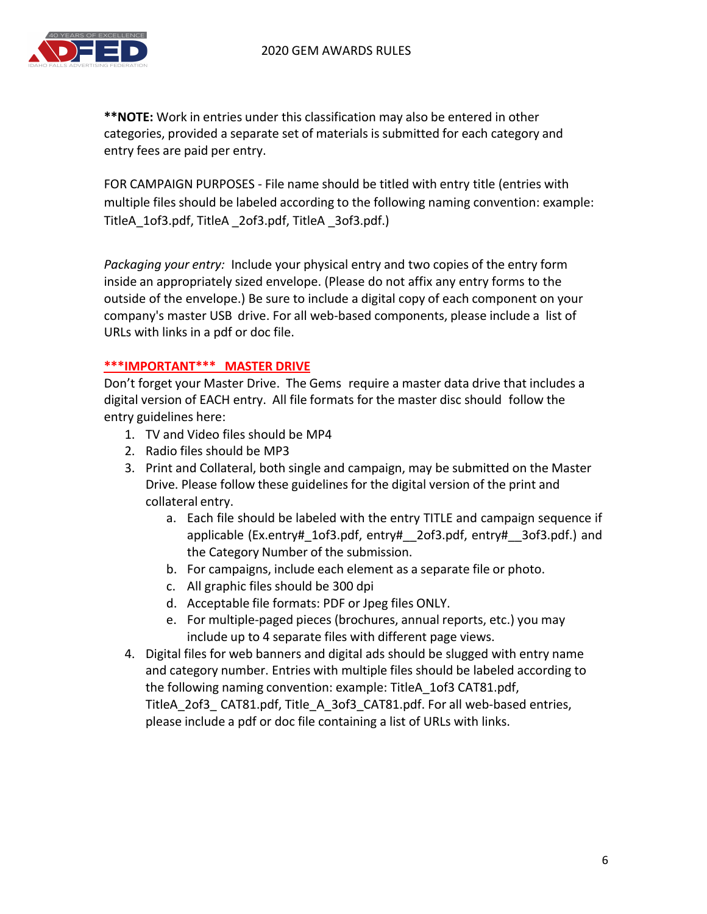

\*\***NOTE:** Work in entries under this classification may also be entered in other categories, provided a separate set of materials is submitted for each category and entry fees are paid per entry.

FOR CAMPAIGN PURPOSES - File name should be titled with entry title (entries with multiple files should be labeled according to the following naming convention: example: TitleA 1of3.pdf, TitleA 2of3.pdf, TitleA 3of3.pdf.)

*Packaging your entry:* Include your physical entry and two copies of the entry form inside an appropriately sized envelope. (Please do not affix any entry forms to the outside of the envelope.) Be sure to include a digital copy of each component on your company's master USB drive. For all web-based components, please include a list of URLs with links in a pdf or doc file.

#### **\*\*\*IMPORTANT\*\*\* MASTER DRIVE**

Don't forget your Master Drive. The Gems require a master data drive that includes a digital version of EACH entry. All file formats for the master disc should follow the entry guidelines here:

- 1. TV and Video files should be MP4
- 2. Radio files should be MP3
- 3. Print and Collateral, both single and campaign, may be submitted on the Master Drive. Please follow these guidelines for the digital version of the print and collateral entry.
	- a. Each file should be labeled with the entry TITLE and campaign sequence if applicable (Ex.entry#\_1of3.pdf, entry#\_\_2of3.pdf, entry#\_\_3of3.pdf.) and the Category Number of the submission.
	- b. For campaigns, include each element as a separate file or photo.
	- c. All graphic files should be 300 dpi
	- d. Acceptable file formats: PDF or Jpeg files ONLY.
	- e. For multiple-paged pieces (brochures, annual reports, etc.) you may include up to 4 separate files with different page views.
- 4. Digital files for web banners and digital ads should be slugged with entry name and category number. Entries with multiple files should be labeled according to the following naming convention: example: TitleA 1of3 CAT81.pdf, TitleA 2of3 CAT81.pdf, Title A 3of3 CAT81.pdf. For all web-based entries, please include a pdf or doc file containing a list of URLs with links.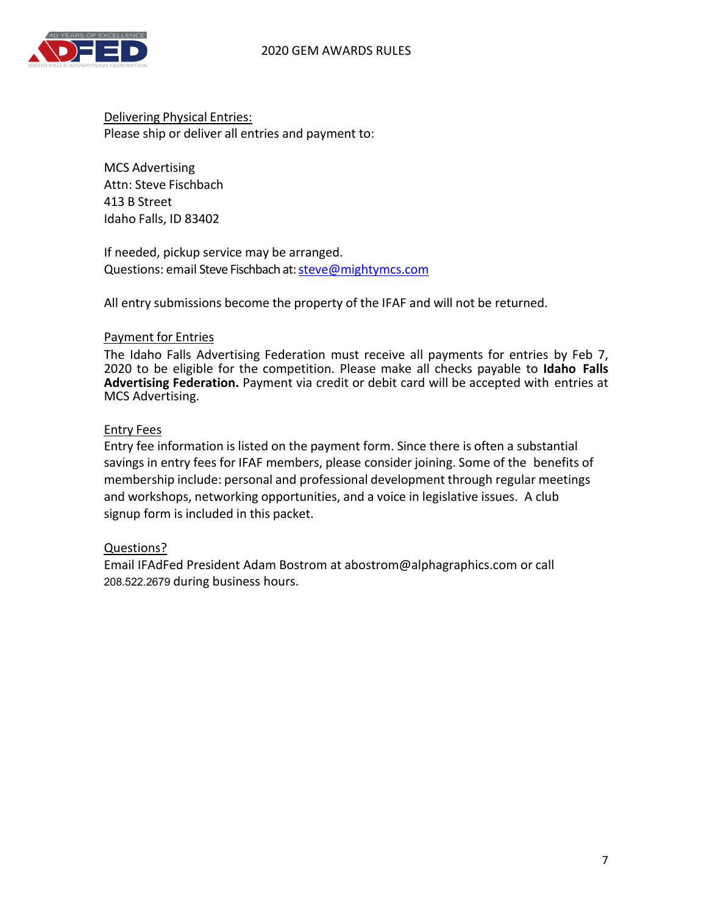

Delivering Physical Entries: Please ship or deliver all entries and payment to:

MCS Advertising Attn: Steve Fischbach 413 B Street Idaho Falls, ID 83402

If needed, pickup service may be arranged. Questions: email Steve Fischbach at: steve@mightymcs.com

All entry submissions become the property of the IFAF and will not be returned.

#### Payment for Entries

The Idaho Falls Advertising Federation must receive all payments for entries by Feb 7,<br>2020 to be eligible for the competition. Please make all checks payable to **Idaho Falls Advertising Federation.** Payment via credit or debit card will be accepted with entries at MCS Advertising.

#### Entry Fees

Entry fee information is listed on the payment form. Since there is often a substantial savings in entry fees for IFAF members, please consider joining. Some of the benefits of membership include: personal and professional development through regular meetings and workshops, networking opportunities, and a voice in legislative issues. A club signup form is included in this packet.

#### Questions?

Email IFAdFed President Adam Bostrom at abostrom@alphagraphics.com or call 208.522.2679 during business hours.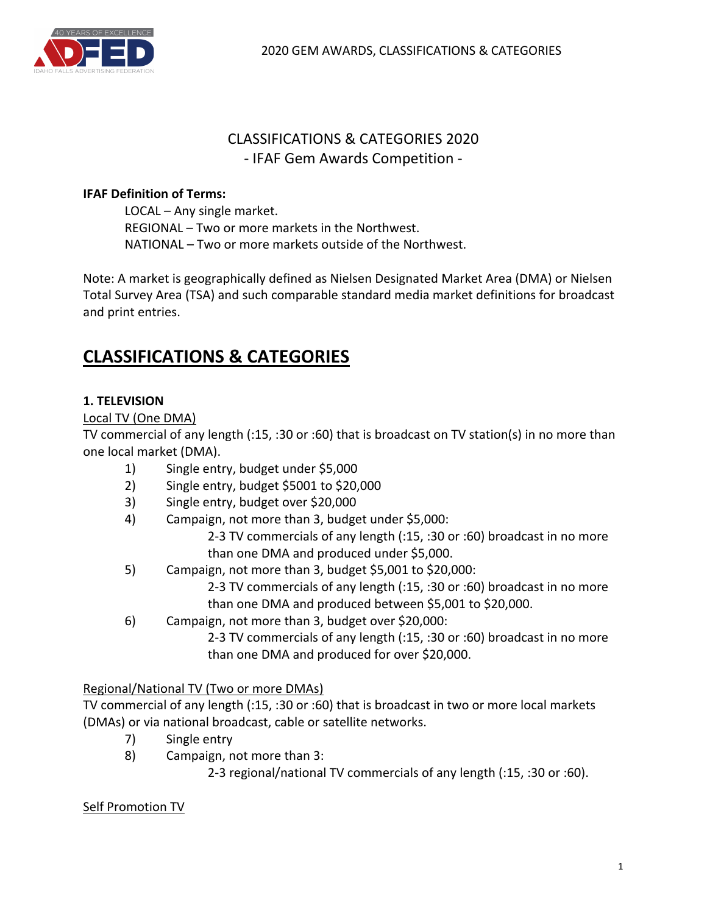

## CLASSIFICATIONS & CATEGORIES 2020 - IFAF Gem Awards Competition -

#### **IFAF Definition of Terms:**

LOCAL – Any single market. REGIONAL - Two or more markets in the Northwest. NATIONAL – Two or more markets outside of the Northwest.

Note: A market is geographically defined as Nielsen Designated Market Area (DMA) or Nielsen Total Survey Area (TSA) and such comparable standard media market definitions for broadcast and print entries.

# **CLASSIFICATIONS & CATEGORIES**

#### **1. TELEVISION**

#### Local TV (One DMA)

TV commercial of any length (:15, :30 or :60) that is broadcast on TV station(s) in no more than one local market (DMA).

- 1) Single entry, budget under \$5,000
- 2) Single entry, budget \$5001 to \$20,000
- 3) Single entry, budget over \$20,000
- 4) Campaign, not more than 3, budget under \$5,000:

2-3 TV commercials of any length (:15, :30 or :60) broadcast in no more than one DMA and produced under \$5,000.

5) Campaign, not more than 3, budget  $$5,001$  to  $$20,000$ :

2-3 TV commercials of any length (:15, :30 or :60) broadcast in no more than one DMA and produced between \$5,001 to \$20,000.

6) Campaign, not more than 3, budget over \$20,000:

2-3 TV commercials of any length (:15, :30 or :60) broadcast in no more than one DMA and produced for over \$20,000.

#### Regional/National TV (Two or more DMAs)

TV commercial of any length (:15, :30 or :60) that is broadcast in two or more local markets (DMAs) or via national broadcast, cable or satellite networks.

- 7) Single entry
- 8) Campaign, not more than 3:

2-3 regional/national TV commercials of any length (:15, :30 or :60).

#### Self Promotion TV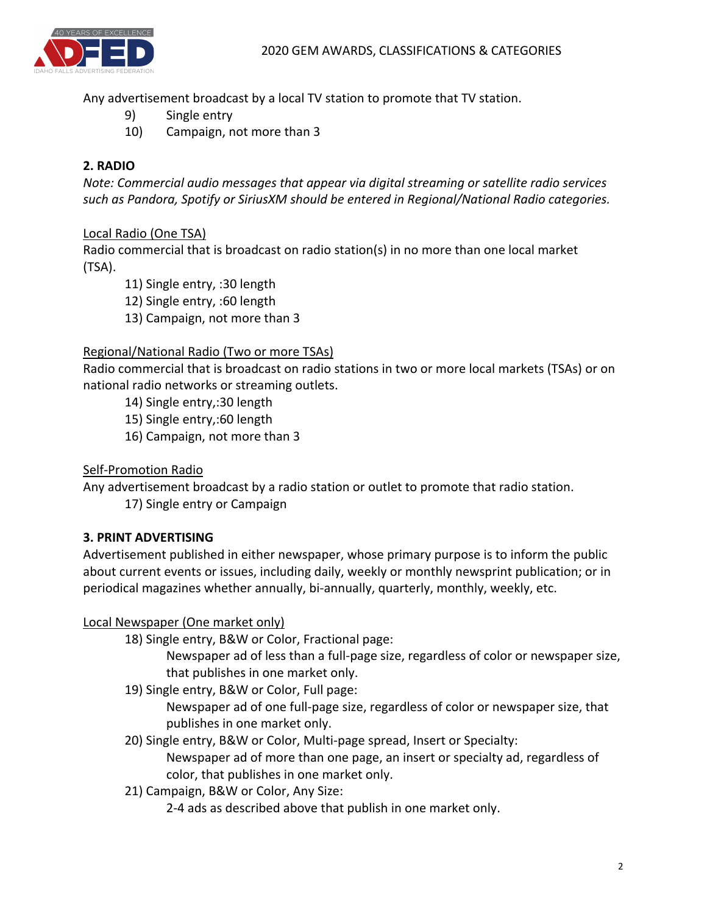Any advertisement broadcast by a local TV station to promote that TV station.

- 9) Single entry
- 10) Campaign, not more than 3

## **2. RADIO**

*Note: Commercial audio messages that appear via digital streaming or satellite radio services* such as Pandora, Spotify or SiriusXM should be entered in Regional/National Radio categories.

#### Local Radio (One TSA)

Radio commercial that is broadcast on radio station(s) in no more than one local market (TSA).

11) Single entry, :30 length

12) Single entry, :60 length

13) Campaign, not more than 3

## Regional/National Radio (Two or more TSAs)

Radio commercial that is broadcast on radio stations in two or more local markets (TSAs) or on national radio networks or streaming outlets.

14) Single entry,:30 length

- 15) Single entry,:60 length
- 16) Campaign, not more than 3

## Self-Promotion Radio

Any advertisement broadcast by a radio station or outlet to promote that radio station.

17) Single entry or Campaign

## **3. PRINT ADVERTISING**

Advertisement published in either newspaper, whose primary purpose is to inform the public about current events or issues, including daily, weekly or monthly newsprint publication; or in periodical magazines whether annually, bi-annually, quarterly, monthly, weekly, etc.

#### Local Newspaper (One market only)

18) Single entry, B&W or Color, Fractional page:

Newspaper ad of less than a full-page size, regardless of color or newspaper size, that publishes in one market only.

19) Single entry, B&W or Color, Full page:

Newspaper ad of one full-page size, regardless of color or newspaper size, that publishes in one market only.

20) Single entry, B&W or Color, Multi-page spread, Insert or Specialty:

Newspaper ad of more than one page, an insert or specialty ad, regardless of color, that publishes in one market only.

21) Campaign, B&W or Color, Any Size:

2-4 ads as described above that publish in one market only.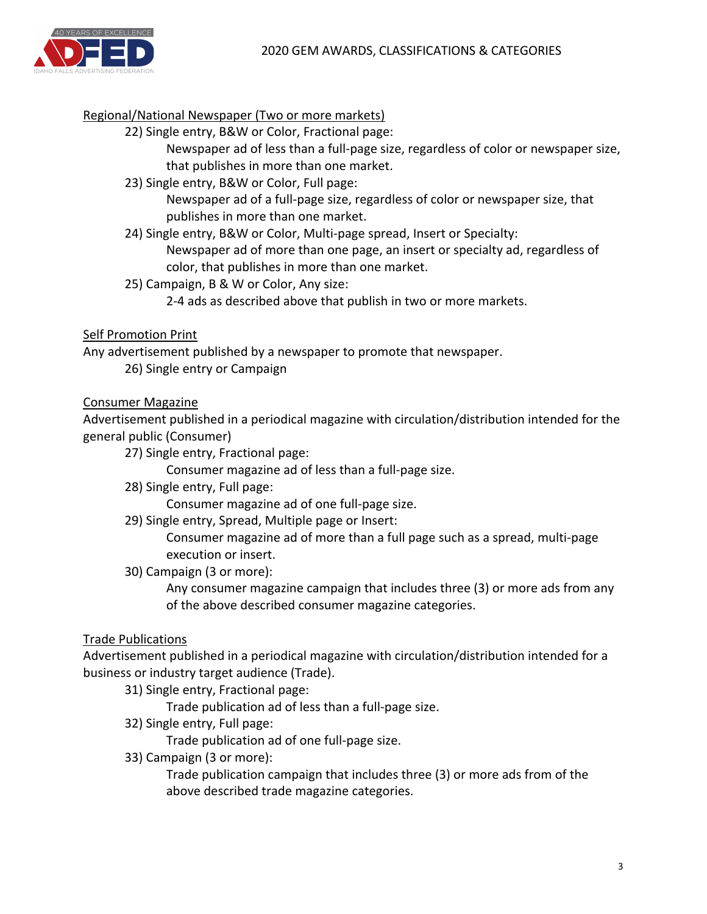

#### Regional/National Newspaper (Two or more markets)

22) Single entry, B&W or Color, Fractional page:

Newspaper ad of less than a full-page size, regardless of color or newspaper size, that publishes in more than one market.

23) Single entry, B&W or Color, Full page:

Newspaper ad of a full-page size, regardless of color or newspaper size, that publishes in more than one market.

- 24) Single entry, B&W or Color, Multi-page spread, Insert or Specialty: Newspaper ad of more than one page, an insert or specialty ad, regardless of color, that publishes in more than one market.
- 25) Campaign, B & W or Color, Any size:
	- 2-4 ads as described above that publish in two or more markets.

#### Self Promotion Print

Any advertisement published by a newspaper to promote that newspaper.

26) Single entry or Campaign

#### Consumer Magazine

Advertisement published in a periodical magazine with circulation/distribution intended for the general public (Consumer)

27) Single entry, Fractional page:

Consumer magazine ad of less than a full-page size.

28) Single entry, Full page:

Consumer magazine ad of one full-page size.

29) Single entry, Spread, Multiple page or Insert:

Consumer magazine ad of more than a full page such as a spread, multi-page execution or insert.

30) Campaign (3 or more):

Any consumer magazine campaign that includes three (3) or more ads from any of the above described consumer magazine categories.

#### Trade Publications

Advertisement published in a periodical magazine with circulation/distribution intended for a business or industry target audience (Trade).

31) Single entry, Fractional page:

Trade publication ad of less than a full-page size.

32) Single entry, Full page:

Trade publication ad of one full-page size.

33) Campaign (3 or more):

Trade publication campaign that includes three (3) or more ads from of the above described trade magazine categories.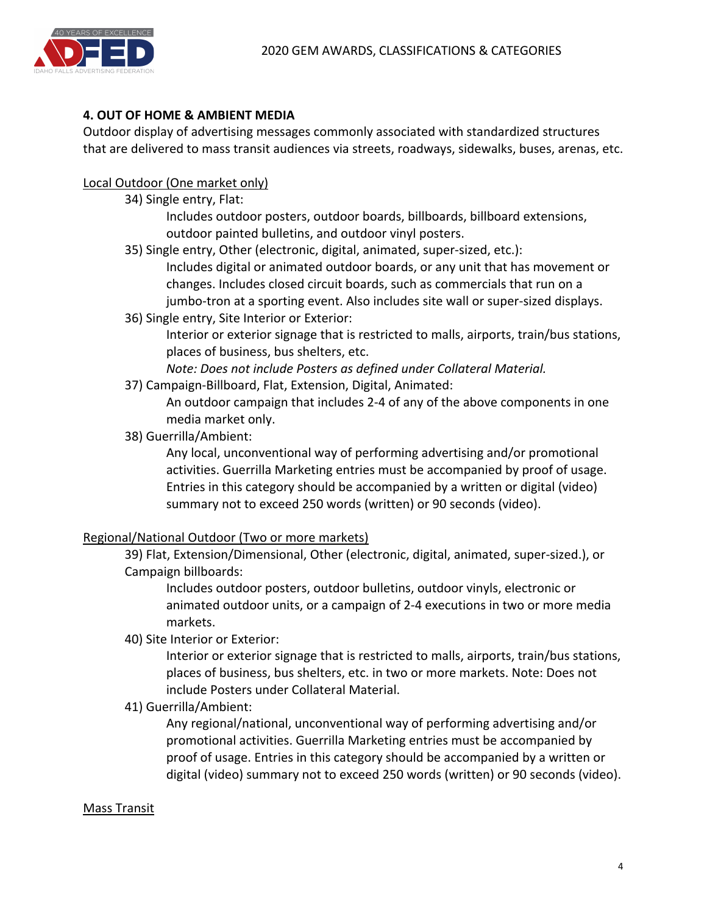

## **4. OUT OF HOME & AMBIENT MEDIA**

Outdoor display of advertising messages commonly associated with standardized structures that are delivered to mass transit audiences via streets, roadways, sidewalks, buses, arenas, etc.

#### Local Outdoor (One market only)

34) Single entry, Flat:

Includes outdoor posters, outdoor boards, billboards, billboard extensions, outdoor painted bulletins, and outdoor vinyl posters.

35) Single entry, Other (electronic, digital, animated, super-sized, etc.):

Includes digital or animated outdoor boards, or any unit that has movement or changes. Includes closed circuit boards, such as commercials that run on a jumbo-tron at a sporting event. Also includes site wall or super-sized displays.

36) Single entry, Site Interior or Exterior:

Interior or exterior signage that is restricted to malls, airports, train/bus stations, places of business, bus shelters, etc.

Note: Does not include Posters as defined under Collateral Material.

37) Campaign-Billboard, Flat, Extension, Digital, Animated:

An outdoor campaign that includes 2-4 of any of the above components in one media market only.

38) Guerrilla/Ambient:

Any local, unconventional way of performing advertising and/or promotional activities. Guerrilla Marketing entries must be accompanied by proof of usage. Entries in this category should be accompanied by a written or digital (video) summary not to exceed 250 words (written) or 90 seconds (video).

#### Regional/National Outdoor (Two or more markets)

39) Flat, Extension/Dimensional, Other (electronic, digital, animated, super-sized.), or Campaign billboards:

Includes outdoor posters, outdoor bulletins, outdoor vinyls, electronic or animated outdoor units, or a campaign of 2-4 executions in two or more media markets.

40) Site Interior or Exterior:

Interior or exterior signage that is restricted to malls, airports, train/bus stations, places of business, bus shelters, etc. in two or more markets. Note: Does not include Posters under Collateral Material.

41) Guerrilla/Ambient:

Any regional/national, unconventional way of performing advertising and/or promotional activities. Guerrilla Marketing entries must be accompanied by proof of usage. Entries in this category should be accompanied by a written or digital (video) summary not to exceed 250 words (written) or 90 seconds (video).

#### **Mass Transit**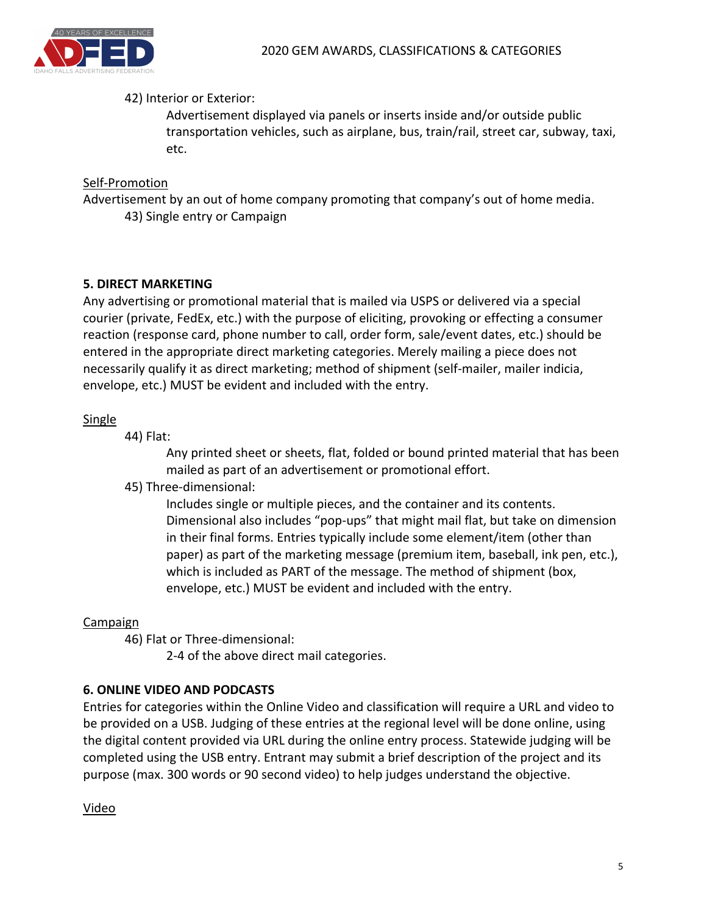

#### 42) Interior or Exterior:

Advertisement displayed via panels or inserts inside and/or outside public transportation vehicles, such as airplane, bus, train/rail, street car, subway, taxi, etc.

#### Self-Promotion

Advertisement by an out of home company promoting that company's out of home media. 43) Single entry or Campaign

#### **5. DIRECT MARKETING**

Any advertising or promotional material that is mailed via USPS or delivered via a special courier (private, FedEx, etc.) with the purpose of eliciting, provoking or effecting a consumer reaction (response card, phone number to call, order form, sale/event dates, etc.) should be entered in the appropriate direct marketing categories. Merely mailing a piece does not necessarily qualify it as direct marketing; method of shipment (self-mailer, mailer indicia, envelope, etc.) MUST be evident and included with the entry.

#### **Single**

44) Flat:

Any printed sheet or sheets, flat, folded or bound printed material that has been mailed as part of an advertisement or promotional effort.

45) Three-dimensional:

Includes single or multiple pieces, and the container and its contents. Dimensional also includes "pop-ups" that might mail flat, but take on dimension in their final forms. Entries typically include some element/item (other than paper) as part of the marketing message (premium item, baseball, ink pen, etc.), which is included as PART of the message. The method of shipment (box, envelope, etc.) MUST be evident and included with the entry.

#### **Campaign**

46) Flat or Three-dimensional:

2-4 of the above direct mail categories.

#### **6. ONLINE VIDEO AND PODCASTS**

Entries for categories within the Online Video and classification will require a URL and video to be provided on a USB. Judging of these entries at the regional level will be done online, using the digital content provided via URL during the online entry process. Statewide judging will be completed using the USB entry. Entrant may submit a brief description of the project and its purpose (max. 300 words or 90 second video) to help judges understand the objective.

Video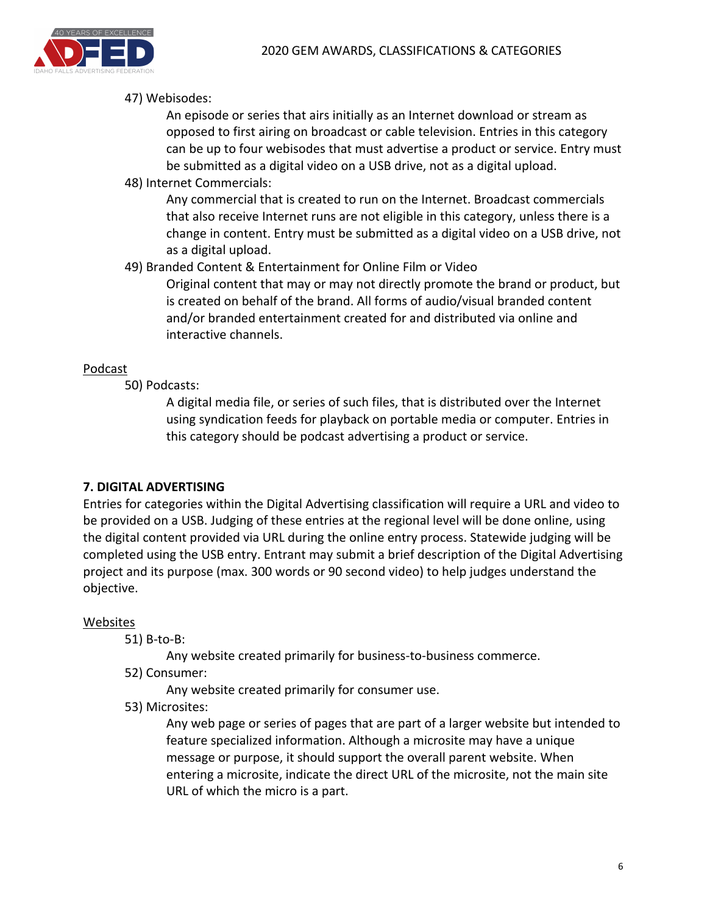

#### 47) Webisodes:

An episode or series that airs initially as an Internet download or stream as opposed to first airing on broadcast or cable television. Entries in this category can be up to four webisodes that must advertise a product or service. Entry must be submitted as a digital video on a USB drive, not as a digital upload.

48) Internet Commercials:

Any commercial that is created to run on the Internet. Broadcast commercials that also receive Internet runs are not eligible in this category, unless there is a change in content. Entry must be submitted as a digital video on a USB drive, not as a digital upload.

49) Branded Content & Entertainment for Online Film or Video

Original content that may or may not directly promote the brand or product, but is created on behalf of the brand. All forms of audio/visual branded content and/or branded entertainment created for and distributed via online and interactive channels.

#### Podcast

50) Podcasts:

A digital media file, or series of such files, that is distributed over the Internet using syndication feeds for playback on portable media or computer. Entries in this category should be podcast advertising a product or service.

#### **7. DIGITAL ADVERTISING**

Entries for categories within the Digital Advertising classification will require a URL and video to be provided on a USB. Judging of these entries at the regional level will be done online, using the digital content provided via URL during the online entry process. Statewide judging will be completed using the USB entry. Entrant may submit a brief description of the Digital Advertising project and its purpose (max. 300 words or 90 second video) to help judges understand the objective.

#### **Websites**

51) B-to-B:

Any website created primarily for business-to-business commerce.

52) Consumer:

Any website created primarily for consumer use.

53) Microsites:

Any web page or series of pages that are part of a larger website but intended to feature specialized information. Although a microsite may have a unique message or purpose, it should support the overall parent website. When entering a microsite, indicate the direct URL of the microsite, not the main site URL of which the micro is a part.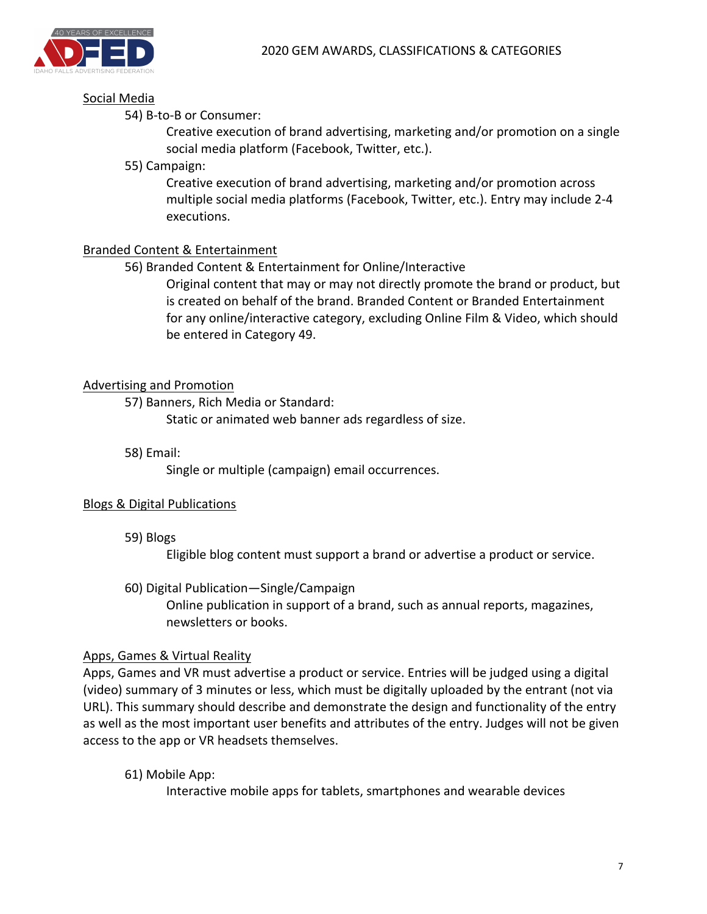#### Social Media

#### 54) B-to-B or Consumer:

Creative execution of brand advertising, marketing and/or promotion on a single social media platform (Facebook, Twitter, etc.).

55) Campaign:

Creative execution of brand advertising, marketing and/or promotion across multiple social media platforms (Facebook, Twitter, etc.). Entry may include 2-4 executions.

#### Branded Content & Entertainment

56) Branded Content & Entertainment for Online/Interactive

Original content that may or may not directly promote the brand or product, but is created on behalf of the brand. Branded Content or Branded Entertainment for any online/interactive category, excluding Online Film & Video, which should be entered in Category 49.

#### Advertising and Promotion

57) Banners, Rich Media or Standard:

Static or animated web banner ads regardless of size.

58) Email:

Single or multiple (campaign) email occurrences.

#### Blogs & Digital Publications

59) Blogs

Eligible blog content must support a brand or advertise a product or service.

60) Digital Publication—Single/Campaign

Online publication in support of a brand, such as annual reports, magazines, newsletters or books.

#### Apps, Games & Virtual Reality

Apps, Games and VR must advertise a product or service. Entries will be judged using a digital (video) summary of 3 minutes or less, which must be digitally uploaded by the entrant (not via URL). This summary should describe and demonstrate the design and functionality of the entry as well as the most important user benefits and attributes of the entry. Judges will not be given access to the app or VR headsets themselves.

61) Mobile App:

Interactive mobile apps for tablets, smartphones and wearable devices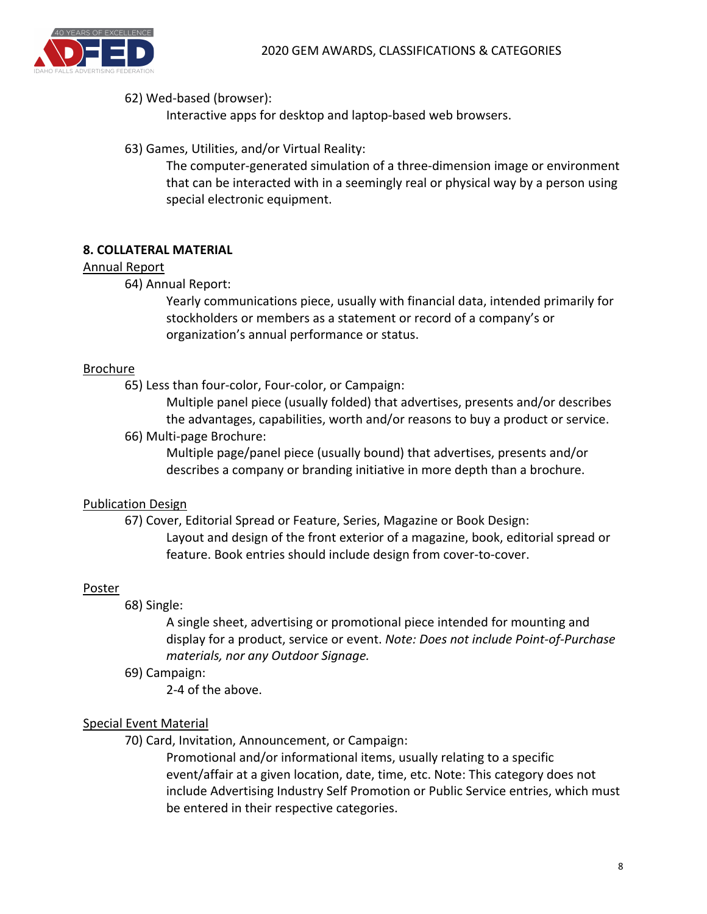

#### 62) Wed-based (browser):

Interactive apps for desktop and laptop-based web browsers.

63) Games, Utilities, and/or Virtual Reality:

The computer-generated simulation of a three-dimension image or environment that can be interacted with in a seemingly real or physical way by a person using special electronic equipment.

#### **8. COLLATERAL MATERIAL**

#### Annual Report

64) Annual Report:

Yearly communications piece, usually with financial data, intended primarily for stockholders or members as a statement or record of a company's or organization's annual performance or status.

#### **Brochure**

65) Less than four-color, Four-color, or Campaign:

Multiple panel piece (usually folded) that advertises, presents and/or describes the advantages, capabilities, worth and/or reasons to buy a product or service.

66) Multi-page Brochure:

Multiple page/panel piece (usually bound) that advertises, presents and/or describes a company or branding initiative in more depth than a brochure.

#### **Publication Design**

67) Cover, Editorial Spread or Feature, Series, Magazine or Book Design: Layout and design of the front exterior of a magazine, book, editorial spread or feature. Book entries should include design from cover-to-cover.

#### **Poster**

68) Single:

A single sheet, advertising or promotional piece intended for mounting and display for a product, service or event. *Note: Does not include Point-of-Purchase materials, nor any Outdoor Signage.*

69) Campaign:

2-4 of the above.

#### Special Event Material

70) Card, Invitation, Announcement, or Campaign:

Promotional and/or informational items, usually relating to a specific event/affair at a given location, date, time, etc. Note: This category does not include Advertising Industry Self Promotion or Public Service entries, which must be entered in their respective categories.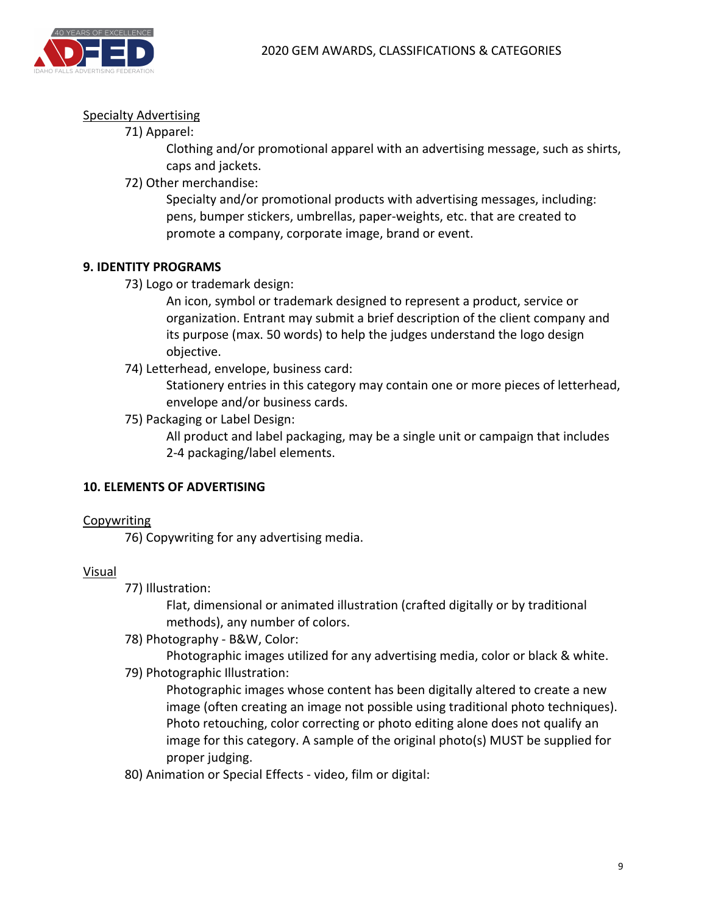

#### **Specialty Advertising**

71) Apparel:

Clothing and/or promotional apparel with an advertising message, such as shirts, caps and jackets.

72) Other merchandise:

Specialty and/or promotional products with advertising messages, including: pens, bumper stickers, umbrellas, paper-weights, etc. that are created to promote a company, corporate image, brand or event.

#### **9. IDENTITY PROGRAMS**

73) Logo or trademark design:

An icon, symbol or trademark designed to represent a product, service or organization. Entrant may submit a brief description of the client company and its purpose (max. 50 words) to help the judges understand the logo design objective.

74) Letterhead, envelope, business card:

Stationery entries in this category may contain one or more pieces of letterhead, envelope and/or business cards.

75) Packaging or Label Design:

All product and label packaging, may be a single unit or campaign that includes 2-4 packaging/label elements.

#### **10. ELEMENTS OF ADVERTISING**

#### Copywriting

76) Copywriting for any advertising media.

#### Visual

77) Illustration:

Flat, dimensional or animated illustration (crafted digitally or by traditional methods), any number of colors.

78) Photography - B&W, Color:

Photographic images utilized for any advertising media, color or black & white.

79) Photographic Illustration:

Photographic images whose content has been digitally altered to create a new image (often creating an image not possible using traditional photo techniques). Photo retouching, color correcting or photo editing alone does not qualify an image for this category. A sample of the original photo(s) MUST be supplied for proper judging.

80) Animation or Special Effects - video, film or digital: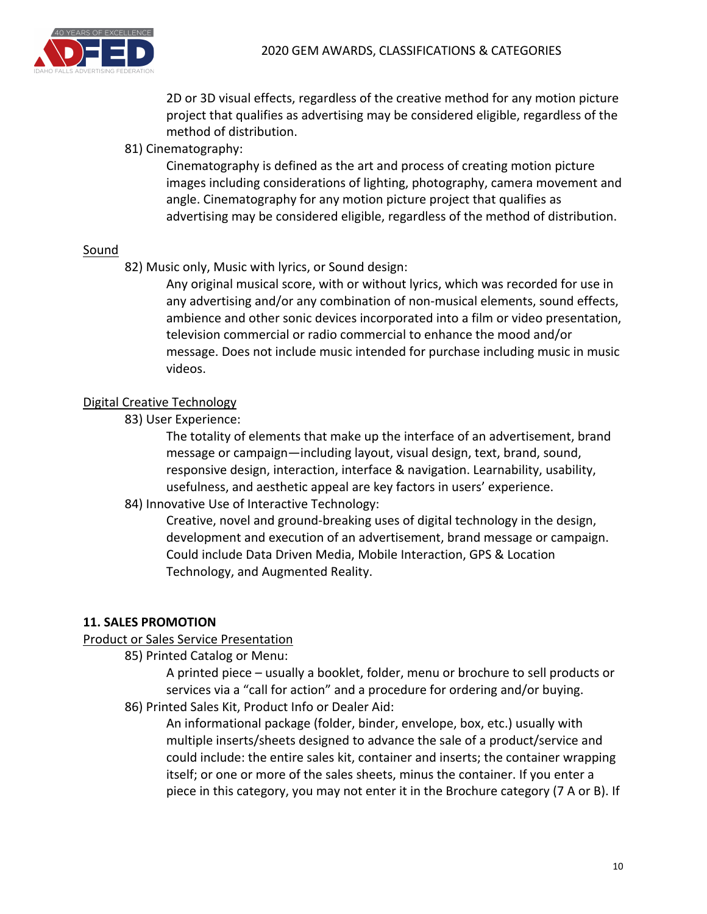

2D or 3D visual effects, regardless of the creative method for any motion picture project that qualifies as advertising may be considered eligible, regardless of the method of distribution.

81) Cinematography:

Cinematography is defined as the art and process of creating motion picture images including considerations of lighting, photography, camera movement and angle. Cinematography for any motion picture project that qualifies as advertising may be considered eligible, regardless of the method of distribution.

#### Sound

82) Music only, Music with lyrics, or Sound design:

Any original musical score, with or without lyrics, which was recorded for use in any advertising and/or any combination of non-musical elements, sound effects, ambience and other sonic devices incorporated into a film or video presentation, television commercial or radio commercial to enhance the mood and/or message. Does not include music intended for purchase including music in music videos.

#### Digital Creative Technology

83) User Experience:

The totality of elements that make up the interface of an advertisement, brand message or campaign—including layout, visual design, text, brand, sound, responsive design, interaction, interface & navigation. Learnability, usability, usefulness, and aesthetic appeal are key factors in users' experience.

84) Innovative Use of Interactive Technology:

Creative, novel and ground-breaking uses of digital technology in the design, development and execution of an advertisement, brand message or campaign. Could include Data Driven Media, Mobile Interaction, GPS & Location Technology, and Augmented Reality.

#### **11. SALES PROMOTION**

#### Product or Sales Service Presentation

85) Printed Catalog or Menu:

A printed piece – usually a booklet, folder, menu or brochure to sell products or services via a "call for action" and a procedure for ordering and/or buying.

86) Printed Sales Kit, Product Info or Dealer Aid:

An informational package (folder, binder, envelope, box, etc.) usually with multiple inserts/sheets designed to advance the sale of a product/service and could include: the entire sales kit, container and inserts; the container wrapping itself; or one or more of the sales sheets, minus the container. If you enter a piece in this category, you may not enter it in the Brochure category (7 A or B). If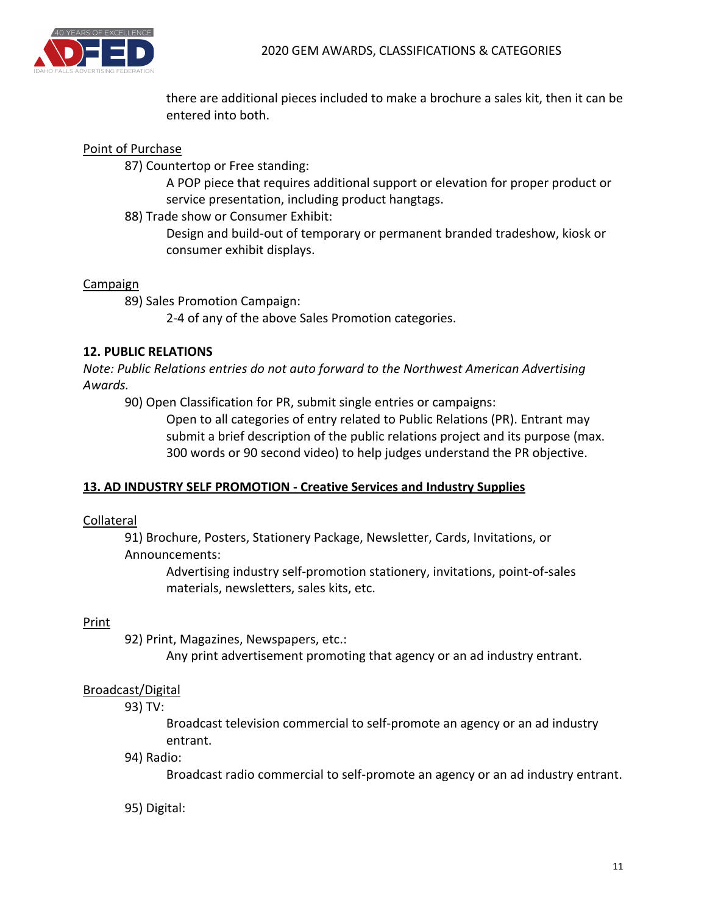

there are additional pieces included to make a brochure a sales kit, then it can be entered into both.

#### Point of Purchase

87) Countertop or Free standing:

A POP piece that requires additional support or elevation for proper product or service presentation, including product hangtags.

88) Trade show or Consumer Exhibit:

Design and build-out of temporary or permanent branded tradeshow, kiosk or consumer exhibit displays.

#### Campaign

89) Sales Promotion Campaign:

2-4 of any of the above Sales Promotion categories.

#### **12. PUBLIC RELATIONS**

*Note: Public Relations entries do not auto forward to the Northwest American Advertising Awards.*

90) Open Classification for PR, submit single entries or campaigns:

Open to all categories of entry related to Public Relations (PR). Entrant may submit a brief description of the public relations project and its purpose (max. 300 words or 90 second video) to help judges understand the PR objective.

#### **13. AD INDUSTRY SELF PROMOTION - Creative Services and Industry Supplies**

#### Collateral

91) Brochure, Posters, Stationery Package, Newsletter, Cards, Invitations, or Announcements:

Advertising industry self-promotion stationery, invitations, point-of-sales materials, newsletters, sales kits, etc.

#### **Print**

92) Print, Magazines, Newspapers, etc.:

Any print advertisement promoting that agency or an ad industry entrant.

#### Broadcast/Digital

93) TV:

Broadcast television commercial to self-promote an agency or an ad industry entrant.

94) Radio:

Broadcast radio commercial to self-promote an agency or an ad industry entrant.

95) Digital: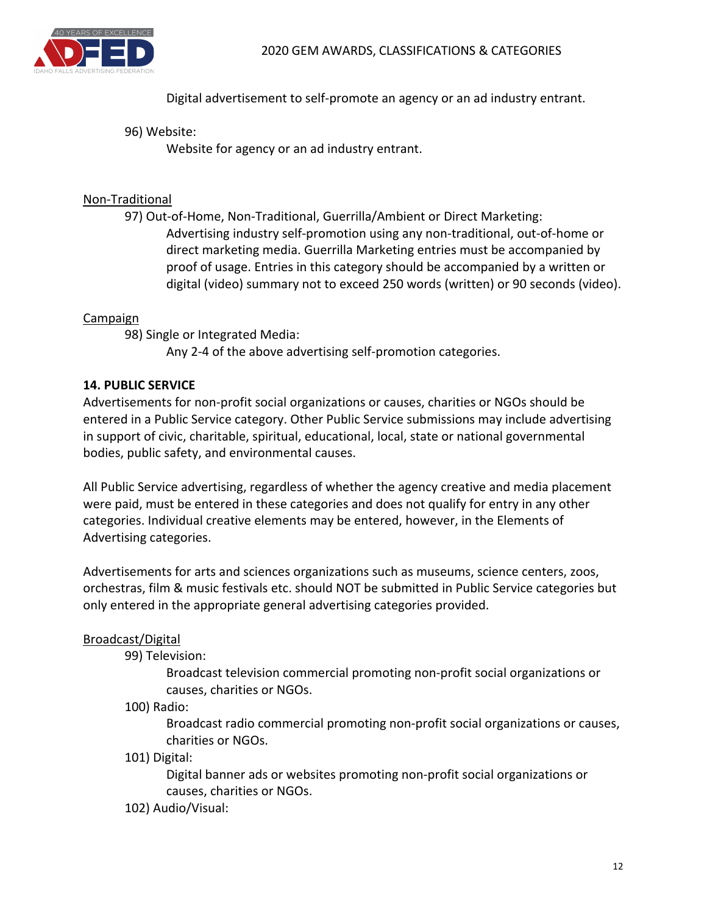

Digital advertisement to self-promote an agency or an ad industry entrant.

#### 96) Website:

Website for agency or an ad industry entrant.

#### Non-Traditional

97) Out-of-Home, Non-Traditional, Guerrilla/Ambient or Direct Marketing: Advertising industry self-promotion using any non-traditional, out-of-home or direct marketing media. Guerrilla Marketing entries must be accompanied by proof of usage. Entries in this category should be accompanied by a written or digital (video) summary not to exceed 250 words (written) or 90 seconds (video).

#### Campaign

98) Single or Integrated Media:

Any 2-4 of the above advertising self-promotion categories.

#### **14. PUBLIC SERVICE**

Advertisements for non-profit social organizations or causes, charities or NGOs should be entered in a Public Service category. Other Public Service submissions may include advertising in support of civic, charitable, spiritual, educational, local, state or national governmental bodies, public safety, and environmental causes.

All Public Service advertising, regardless of whether the agency creative and media placement were paid, must be entered in these categories and does not qualify for entry in any other categories. Individual creative elements may be entered, however, in the Elements of Advertising categories.

Advertisements for arts and sciences organizations such as museums, science centers, zoos, orchestras, film & music festivals etc. should NOT be submitted in Public Service categories but only entered in the appropriate general advertising categories provided.

#### Broadcast/Digital

99) Television:

Broadcast television commercial promoting non-profit social organizations or causes, charities or NGOs.

#### 100) Radio:

Broadcast radio commercial promoting non-profit social organizations or causes, charities or NGOs.

101) Digital:

Digital banner ads or websites promoting non-profit social organizations or causes, charities or NGOs.

102) Audio/Visual: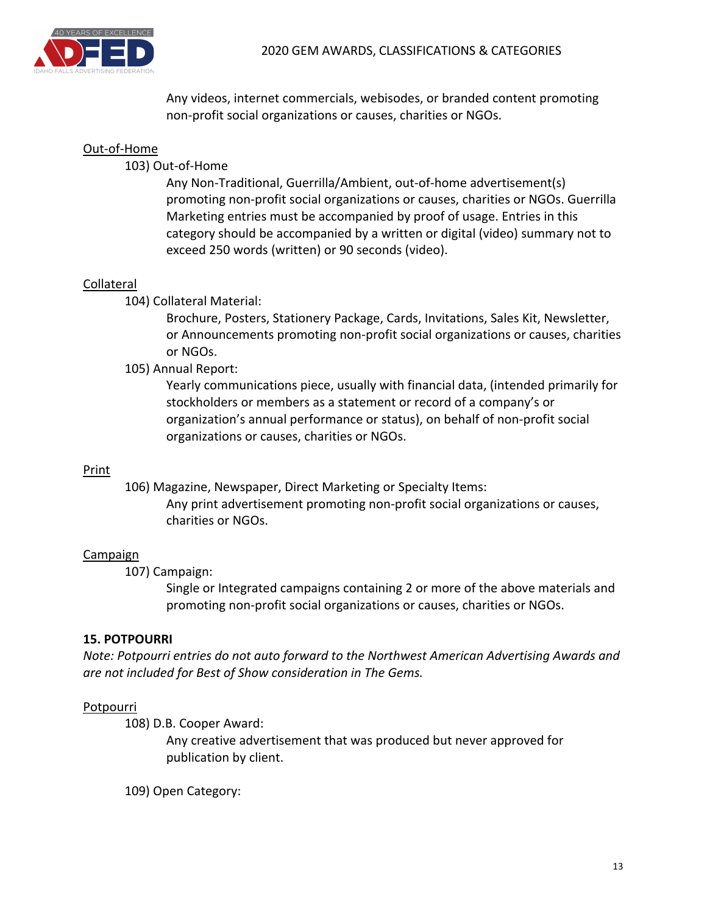

Any videos, internet commercials, webisodes, or branded content promoting non-profit social organizations or causes, charities or NGOs.

#### Out-of-Home

103) Out-of-Home

Any Non-Traditional, Guerrilla/Ambient, out-of-home advertisement(s) promoting non-profit social organizations or causes, charities or NGOs. Guerrilla Marketing entries must be accompanied by proof of usage. Entries in this category should be accompanied by a written or digital (video) summary not to exceed 250 words (written) or 90 seconds (video).

#### Collateral

104) Collateral Material:

Brochure, Posters, Stationery Package, Cards, Invitations, Sales Kit, Newsletter, or Announcements promoting non-profit social organizations or causes, charities or NGOs.

#### 105) Annual Report:

Yearly communications piece, usually with financial data, (intended primarily for stockholders or members as a statement or record of a company's or organization's annual performance or status), on behalf of non-profit social organizations or causes, charities or NGOs.

#### Print

106) Magazine, Newspaper, Direct Marketing or Specialty Items: Any print advertisement promoting non-profit social organizations or causes, charities or NGOs.

#### Campaign

107) Campaign:

Single or Integrated campaigns containing 2 or more of the above materials and promoting non-profit social organizations or causes, charities or NGOs.

#### **15. POTPOURRI**

*Note: Potpourri entries do not auto forward to the Northwest American Advertising Awards and* are not included for Best of Show consideration in The Gems.

#### **Potpourri**

108) D.B. Cooper Award:

Any creative advertisement that was produced but never approved for publication by client.

109) Open Category: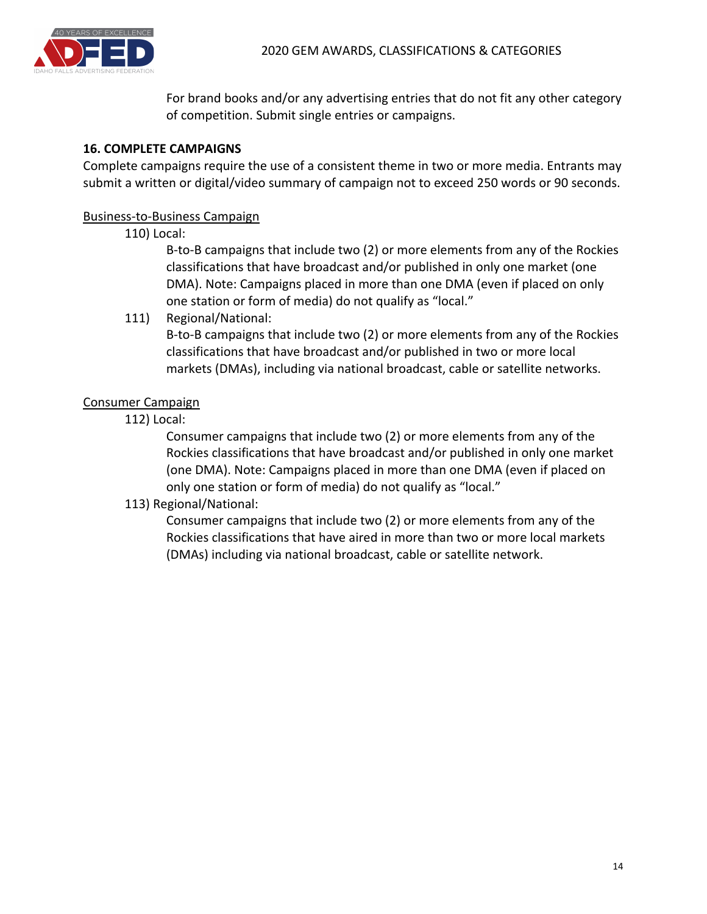

For brand books and/or any advertising entries that do not fit any other category of competition. Submit single entries or campaigns.

#### **16. COMPLETE CAMPAIGNS**

Complete campaigns require the use of a consistent theme in two or more media. Entrants may submit a written or digital/video summary of campaign not to exceed 250 words or 90 seconds.

#### Business-to-Business Campaign

#### 110) Local:

B-to-B campaigns that include two (2) or more elements from any of the Rockies classifications that have broadcast and/or published in only one market (one DMA). Note: Campaigns placed in more than one DMA (even if placed on only one station or form of media) do not qualify as "local."

111) Regional/National:

B-to-B campaigns that include two (2) or more elements from any of the Rockies classifications that have broadcast and/or published in two or more local markets (DMAs), including via national broadcast, cable or satellite networks.

#### Consumer Campaign

112) Local:

Consumer campaigns that include two (2) or more elements from any of the Rockies classifications that have broadcast and/or published in only one market (one DMA). Note: Campaigns placed in more than one DMA (even if placed on only one station or form of media) do not qualify as "local."

#### 113) Regional/National:

Consumer campaigns that include two (2) or more elements from any of the Rockies classifications that have aired in more than two or more local markets (DMAs) including via national broadcast, cable or satellite network.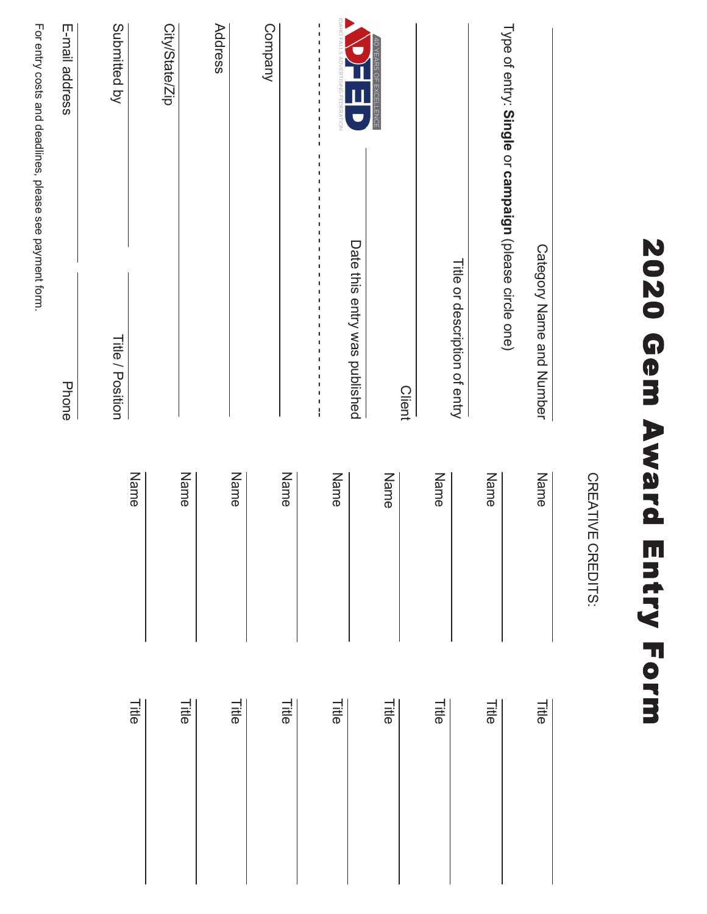| 2020<br><b>Gem</b>                                                                                                                                                                                                                                                                                                                                                        | Award<br><b>Entry Form</b> |       |
|---------------------------------------------------------------------------------------------------------------------------------------------------------------------------------------------------------------------------------------------------------------------------------------------------------------------------------------------------------------------------|----------------------------|-------|
|                                                                                                                                                                                                                                                                                                                                                                           | CREATIVE CREDITS:          |       |
| Category Name and Number                                                                                                                                                                                                                                                                                                                                                  | Name                       | Title |
| Type of entry: Single or campaign (please circle one)                                                                                                                                                                                                                                                                                                                     |                            |       |
| Title or description of entry                                                                                                                                                                                                                                                                                                                                             | Name                       | Title |
|                                                                                                                                                                                                                                                                                                                                                                           | Name                       | Title |
| 40 YEARS OF EXCELLENCE<br><b>Client</b>                                                                                                                                                                                                                                                                                                                                   | Name                       | Title |
| OHER<br><b>SERATION</b><br>Date this entry was published                                                                                                                                                                                                                                                                                                                  |                            |       |
| $\frac{1}{1}$<br>$\begin{array}{c} 1 \\ 1 \\ 1 \\ 1 \end{array}$<br>$\mathbf I$<br>J.<br>J.<br>J.<br>I.<br>J.<br>t<br>J.<br>J.<br>$\mathbf I$<br>$\mathbf I$<br>f,<br>$\mathbf I$<br>$\mathsf I$<br>f,<br>Ţ<br>$\mathsf I$<br>$\mathsf I$<br>$\mathbf I$<br>$\mathbf I$<br>Ţ<br>f,<br>I<br>$\mathsf I$<br>Ţ<br>$\mathbf I$<br>$\begin{bmatrix} 1 \\ 1 \\ 1 \end{bmatrix}$ | Name                       | Title |
| Company                                                                                                                                                                                                                                                                                                                                                                   | Name                       | Title |
| Address                                                                                                                                                                                                                                                                                                                                                                   | Name                       | Title |
| City/State/Zip                                                                                                                                                                                                                                                                                                                                                            | Name                       | Title |
|                                                                                                                                                                                                                                                                                                                                                                           | Name                       | Title |
| Submitted by<br><b>Title / Position</b>                                                                                                                                                                                                                                                                                                                                   |                            |       |

For entry costs and deadlines, please see payment form. entry costs and deadlines, please see payment form.

E-mail address

E-mail address

Phone